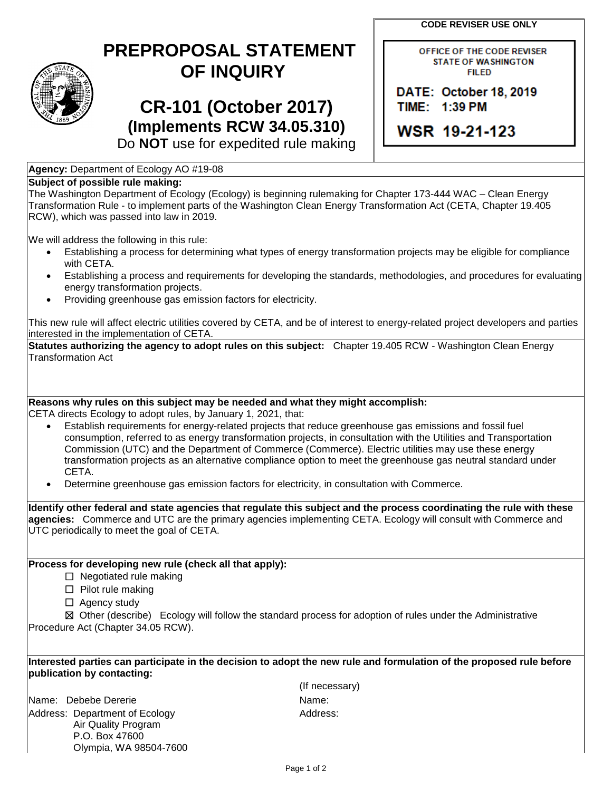**CODE REVISER USE ONLY**

## **PREPROPOSAL STATEMENT OF INQUIRY**

# **CR-101 (October 2017) (Implements RCW 34.05.310)**

OFFICE OF THE CODE REVISER **STATE OF WASHINGTON FILED** 

DATE: October 18, 2019 TIME: 1:39 PM

WSR 19-21-123

Do **NOT** use for expedited rule making

### **Agency:** Department of Ecology AO #19-08

#### **Subject of possible rule making:**

The Washington Department of Ecology (Ecology) is beginning rulemaking for Chapter 173-444 WAC – Clean Energy Transformation Rule - to implement parts of the Washington Clean Energy Transformation Act (CETA, Chapter 19.405 RCW), which was passed into law in 2019.

We will address the following in this rule:

- Establishing a process for determining what types of energy transformation projects may be eligible for compliance with CETA.
- Establishing a process and requirements for developing the standards, methodologies, and procedures for evaluating energy transformation projects.
- Providing greenhouse gas emission factors for electricity.

This new rule will affect electric utilities covered by CETA, and be of interest to energy-related project developers and parties interested in the implementation of CETA.

**Statutes authorizing the agency to adopt rules on this subject:** Chapter 19.405 RCW - Washington Clean Energy Transformation Act

#### **Reasons why rules on this subject may be needed and what they might accomplish:**

CETA directs Ecology to adopt rules, by January 1, 2021, that:

- Establish requirements for energy-related projects that reduce greenhouse gas emissions and fossil fuel consumption, referred to as energy transformation projects, in consultation with the Utilities and Transportation Commission (UTC) and the Department of Commerce (Commerce). Electric utilities may use these energy transformation projects as an alternative compliance option to meet the greenhouse gas neutral standard under CETA.
- Determine greenhouse gas emission factors for electricity, in consultation with Commerce.

**Identify other federal and state agencies that regulate this subject and the process coordinating the rule with these agencies:** Commerce and UTC are the primary agencies implementing CETA. Ecology will consult with Commerce and UTC periodically to meet the goal of CETA.

#### **Process for developing new rule (check all that apply):**

- ☐ Negotiated rule making
- □ Pilot rule making
- □ Agency study

☒ Other (describe) Ecology will follow the standard process for adoption of rules under the Administrative Procedure Act (Chapter 34.05 RCW).

#### **Interested parties can participate in the decision to adopt the new rule and formulation of the proposed rule before publication by contacting:**

Name: Debebe Dererie Name: Name: Name: Name: Name: Name: Name: Name: Name: Name: Name: Name: Name: Name: Name: Name: Name: Name: Name: Name: Name: Name: Name: Name: Name: Name: Name: Name: Name: Name: Name: Name: Name: Nam Address: Department of Ecology Air Quality Program P.O. Box 47600 Olympia, WA 98504-7600

(If necessary) Address: